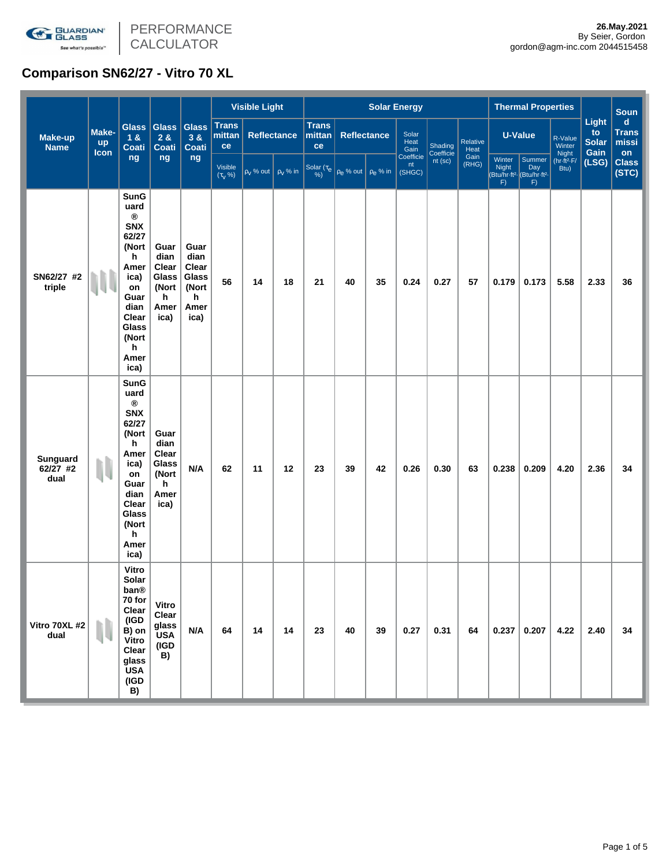

# **Comparison SN62/27 - Vitro 70 XL**

|                               | Make-<br><b>up</b><br><b>Icon</b> | Glass  <br>1 &<br><b>Coati</b><br>ng                                                                                                                           | <b>Glass</b><br>2 &<br><b>Coati</b><br>ng                    | <b>Glass</b><br>3 &<br><b>Coati</b><br>ng                    | <b>Visible Light</b>         |                              |                    | <b>Solar Energy</b>          |                                               |    |                                               |           |                  |                              | <b>Thermal Properties</b>                                               |                             |                               | <b>Soun</b>                         |
|-------------------------------|-----------------------------------|----------------------------------------------------------------------------------------------------------------------------------------------------------------|--------------------------------------------------------------|--------------------------------------------------------------|------------------------------|------------------------------|--------------------|------------------------------|-----------------------------------------------|----|-----------------------------------------------|-----------|------------------|------------------------------|-------------------------------------------------------------------------|-----------------------------|-------------------------------|-------------------------------------|
| <b>Make-up</b><br><b>Name</b> |                                   |                                                                                                                                                                |                                                              |                                                              | <b>Trans</b><br>mittan<br>ce |                              | <b>Reflectance</b> | <b>Trans</b><br>mittan<br>ce | <b>Reflectance</b>                            |    | Solar<br>Heat<br>Shading<br>Gain<br>Coefficie |           | Relative<br>Heat | <b>U-Value</b>               |                                                                         | to<br>R-Value<br>Winter     | Light<br><b>Solar</b><br>Gain | $\mathbf d$<br>Trans<br>missi<br>on |
|                               |                                   |                                                                                                                                                                |                                                              |                                                              | Visible<br>$(\tau_{V}$ %)    | $\rho_V$ % out $\rho_V$ % in |                    |                              | Solar ( $\tau_e$ $\rho_e$ % out $\rho_e$ % in |    | Coefficie<br>nt<br>(SHGC)                     | $nt$ (sc) | Gain<br>(RHG)    | Winter<br><b>Night</b><br>F) | Summer<br>Day<br>Btu/hr-ft <sup>2</sup> (Btu/hr-ft <sup>2</sup>  <br>F) | Night<br>(hr·ft²·F/<br>Btu) | (LSG)                         | <b>Class</b><br>(STC)               |
| SN62/27 #2<br>triple          |                                   | <b>SunG</b><br>uard<br>$^\circledR$<br><b>SNX</b><br>62/27<br>(Nort<br>h<br>Amer<br>ica)<br>on<br>Guar<br>dian<br>Clear<br>Glass<br>(Nort<br>h<br>Amer<br>ica) | Guar<br>dian<br>Clear<br>Glass<br>(Nort<br>h<br>Amer<br>ica) | Guar<br>dian<br>Clear<br>Glass<br>(Nort<br>h<br>Amer<br>ica) | 56                           | 14                           | 18                 | 21                           | 40                                            | 35 | 0.24                                          | 0.27      | 57               | 0.179                        | 0.173                                                                   | 5.58                        | 2.33                          | 36                                  |
| Sunguard<br>62/27 #2<br>dual  | N                                 | <b>SunG</b><br>uard<br>$^\circledR$<br><b>SNX</b><br>62/27<br>(Nort<br>h<br>Amer<br>ica)<br>on<br>Guar<br>dian<br>Clear<br>Glass<br>(Nort<br>h<br>Amer<br>ica) | Guar<br>dian<br>Clear<br>Glass<br>(Nort<br>h<br>Amer<br>ica) | N/A                                                          | 62                           | 11                           | 12                 | 23                           | 39                                            | 42 | 0.26                                          | 0.30      | 63               | 0.238                        | 0.209                                                                   | 4.20                        | 2.36                          | 34                                  |
| Vitro 70XL #2<br>dual         |                                   | Vitro<br>Solar<br>ban®<br>70 for<br>Clear<br>(IGD<br>B) on<br>Vitro<br>Clear<br>glass<br><b>USA</b><br>(IGD<br>B)                                              | Vitro<br>Clear<br>glass<br><b>USA</b><br>(IGD<br>B)          | N/A                                                          | 64                           | 14                           | 14                 | 23                           | 40                                            | 39 | 0.27                                          | 0.31      | 64               | 0.237                        | 0.207                                                                   | 4.22                        | 2.40                          | 34                                  |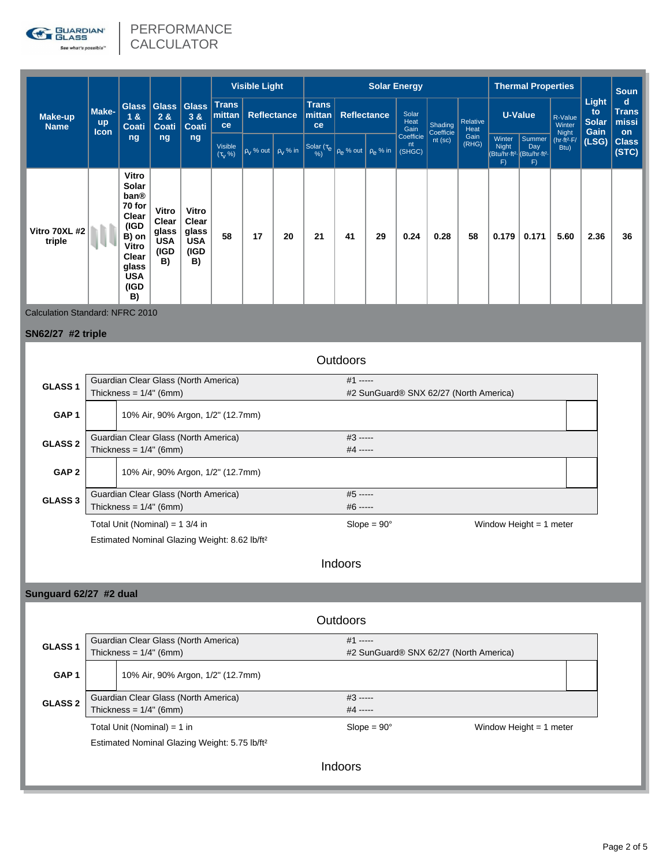

# PERFORMANCE **CALCULATOR**

| Make-up<br><b>Name</b>  | Make-<br><b>up</b><br><b>Icon</b> | Glass  <br>18<br><b>Coati</b><br>ng                                                                               | 28<br>Coati<br>ng                                   | Glass Glass<br>3 &<br><b>Coati</b><br>ng            | <b>Visible Light</b>               |                    |    | <b>Solar Energy</b>                                                                                                                                                                                                   |                    |    |                           |                        |                  | <b>Thermal Properties</b>    |                                                                           |                             | <b>Soun</b>                  |                                    |
|-------------------------|-----------------------------------|-------------------------------------------------------------------------------------------------------------------|-----------------------------------------------------|-----------------------------------------------------|------------------------------------|--------------------|----|-----------------------------------------------------------------------------------------------------------------------------------------------------------------------------------------------------------------------|--------------------|----|---------------------------|------------------------|------------------|------------------------------|---------------------------------------------------------------------------|-----------------------------|------------------------------|------------------------------------|
|                         |                                   |                                                                                                                   |                                                     |                                                     | <b>Trans</b><br>mittan<br>ce       | <b>Reflectance</b> |    | <b>Trans</b><br>mittan<br>ce                                                                                                                                                                                          | <b>Reflectance</b> |    | Solar<br>Heat<br>Gain     | Shading                | Relative<br>Heat | <b>U-Value</b>               |                                                                           | R-Value<br>Winter           | Light<br>to<br>Solar<br>Gain | d<br><b>Trans</b><br>missi         |
|                         |                                   |                                                                                                                   |                                                     |                                                     | Visible<br>$(\tau_{\rm V} \, \% )$ |                    |    | $\left[\rho_{\mathsf{V}}\% \text{ out } \middle  \rho_{\mathsf{V}}\% \text{ in } \middle  \text{Solar}(\tau_{\mathsf{e}}) \middle  \rho_{\mathsf{e}}\% \text{ out } \middle  \rho_{\mathsf{e}}\% \text{ in } \right]$ |                    |    | Coefficie<br>nt<br>(SHGC) | Coefficie<br>$nt$ (sc) | Gain<br>(RHG)    | Winter<br><b>Night</b><br>F) | Summer<br>Day<br>(Btu/hr-ft <sup>2</sup> - Btu/hr-ft <sup>2</sup> -<br>F) | Night<br>(hr·ft²·F/<br>Btu) | (LSG)                        | <b>on</b><br><b>Class</b><br>(STC) |
| Vitro 70XL #2<br>triple |                                   | Vitro<br>Solar<br>ban®<br>70 for<br>Clear<br>(IGD<br>B) on<br>Vitro<br>Clear<br>glass<br><b>USA</b><br>(IGD<br>B) | Vitro<br>Clear<br>glass<br><b>USA</b><br>(IGD<br>B) | Vitro<br>Clear<br>glass<br><b>USA</b><br>(IGD<br>B) | 58                                 | 17                 | 20 | 21                                                                                                                                                                                                                    | 41                 | 29 | 0.24                      | 0.28                   | 58               | 0.179                        | 0.171                                                                     | 5.60                        | 2.36                         | 36                                 |

Calculation Standard: NFRC 2010

# **SN62/27 #2 triple**

|                    |                                                           |                                           | <b>Outdoors</b>                        |                           |  |  |  |  |  |  |
|--------------------|-----------------------------------------------------------|-------------------------------------------|----------------------------------------|---------------------------|--|--|--|--|--|--|
| GLASS <sub>1</sub> |                                                           | Guardian Clear Glass (North America)      | $#1$ -----                             |                           |  |  |  |  |  |  |
|                    |                                                           | Thickness = $1/4$ " (6mm)                 | #2 SunGuard® SNX 62/27 (North America) |                           |  |  |  |  |  |  |
| GAP <sub>1</sub>   |                                                           | 10% Air, 90% Argon, 1/2" (12.7mm)         |                                        |                           |  |  |  |  |  |  |
| <b>GLASS 2</b>     |                                                           | Guardian Clear Glass (North America)      | $#3$ -----                             |                           |  |  |  |  |  |  |
|                    |                                                           | Thickness = $1/4$ " (6mm)                 | #4 -----                               |                           |  |  |  |  |  |  |
| GAP <sub>2</sub>   |                                                           | 10% Air, 90% Argon, 1/2" (12.7mm)         |                                        |                           |  |  |  |  |  |  |
| GLASS <sub>3</sub> |                                                           | Guardian Clear Glass (North America)      | $#5$ -----                             |                           |  |  |  |  |  |  |
|                    |                                                           | Thickness = $1/4$ " (6mm)                 | $#6$ -----                             |                           |  |  |  |  |  |  |
|                    |                                                           | Total Unit (Nominal) = $1 \frac{3}{4}$ in | $Slope = 90^\circ$                     | Window Height $= 1$ meter |  |  |  |  |  |  |
|                    | Estimated Nominal Glazing Weight: 8.62 lb/ft <sup>2</sup> |                                           |                                        |                           |  |  |  |  |  |  |

Indoors

# **Sunguard 62/27 #2 dual**

|                  |                                                                   | <b>Outdoors</b>                                      |                           |  |  |  |  |  |  |  |
|------------------|-------------------------------------------------------------------|------------------------------------------------------|---------------------------|--|--|--|--|--|--|--|
| <b>GLASS1</b>    | Guardian Clear Glass (North America)<br>Thickness = $1/4$ " (6mm) | $#1$ -----<br>#2 SunGuard® SNX 62/27 (North America) |                           |  |  |  |  |  |  |  |
| GAP <sub>1</sub> | 10% Air, 90% Argon, 1/2" (12.7mm)                                 |                                                      |                           |  |  |  |  |  |  |  |
| <b>GLASS 2</b>   | Guardian Clear Glass (North America)<br>Thickness = $1/4$ " (6mm) | #3 -----<br>$#4$ -----                               |                           |  |  |  |  |  |  |  |
|                  | Total Unit (Nominal) = 1 in                                       | $Slope = 90^\circ$                                   | Window Height $= 1$ meter |  |  |  |  |  |  |  |
|                  | Estimated Nominal Glazing Weight: 5.75 lb/ft <sup>2</sup>         |                                                      |                           |  |  |  |  |  |  |  |
|                  |                                                                   | Indoors                                              |                           |  |  |  |  |  |  |  |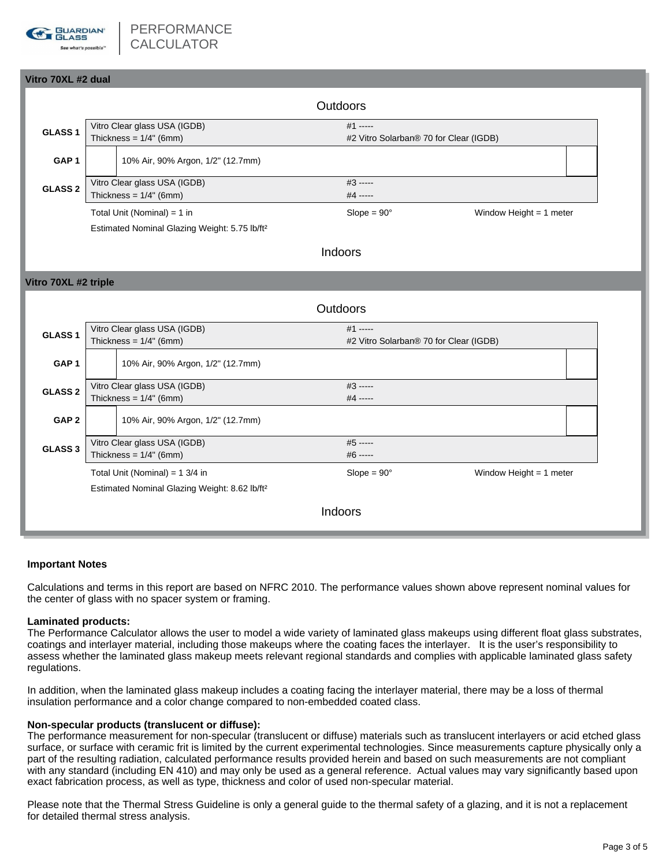

| Vitro 70XL #2 dual   |                                                           |                                                                                            |          |                                                      |                           |  |  |  |  |  |  |
|----------------------|-----------------------------------------------------------|--------------------------------------------------------------------------------------------|----------|------------------------------------------------------|---------------------------|--|--|--|--|--|--|
|                      |                                                           |                                                                                            | Outdoors |                                                      |                           |  |  |  |  |  |  |
| GLASS <sub>1</sub>   |                                                           | Vitro Clear glass USA (IGDB)<br>Thickness = $1/4$ " (6mm)                                  |          | $#1$ -----<br>#2 Vitro Solarban® 70 for Clear (IGDB) |                           |  |  |  |  |  |  |
| GAP <sub>1</sub>     |                                                           | 10% Air, 90% Argon, 1/2" (12.7mm)                                                          |          |                                                      |                           |  |  |  |  |  |  |
| <b>GLASS 2</b>       |                                                           | Vitro Clear glass USA (IGDB)<br>Thickness = $1/4"$ (6mm)                                   |          |                                                      |                           |  |  |  |  |  |  |
|                      |                                                           | Total Unit (Nominal) = $1$ in<br>Estimated Nominal Glazing Weight: 5.75 lb/ft <sup>2</sup> |          | $Slope = 90^\circ$                                   | Window Height = $1$ meter |  |  |  |  |  |  |
|                      |                                                           |                                                                                            |          | Indoors                                              |                           |  |  |  |  |  |  |
| Vitro 70XL #2 triple |                                                           |                                                                                            |          |                                                      |                           |  |  |  |  |  |  |
| Outdoors             |                                                           |                                                                                            |          |                                                      |                           |  |  |  |  |  |  |
| GLASS <sub>1</sub>   | Vitro Clear glass USA (IGDB)<br>Thickness = $1/4$ " (6mm) |                                                                                            |          | #1 -----<br>#2 Vitro Solarban® 70 for Clear (IGDB)   |                           |  |  |  |  |  |  |
| GAP <sub>1</sub>     |                                                           | 10% Air, 90% Argon, 1/2" (12.7mm)                                                          |          |                                                      |                           |  |  |  |  |  |  |
| GLASS <sub>2</sub>   | Vitro Clear glass USA (IGDB)<br>Thickness = $1/4$ " (6mm) |                                                                                            |          | $#3$ -----<br>#4 -----                               |                           |  |  |  |  |  |  |
| GAP <sub>2</sub>     |                                                           | 10% Air, 90% Argon, 1/2" (12.7mm)                                                          |          |                                                      |                           |  |  |  |  |  |  |
| GLASS <sub>3</sub>   | Vitro Clear glass USA (IGDB)<br>Thickness = $1/4$ " (6mm) |                                                                                            |          | $#5$ -----<br>#6 -----                               |                           |  |  |  |  |  |  |
|                      |                                                           | Total Unit (Nominal) = $1 \frac{3}{4}$ in                                                  |          | $Slope = 90^\circ$                                   | Window Height = $1$ meter |  |  |  |  |  |  |
|                      |                                                           | Estimated Nominal Glazing Weight: 8.62 lb/ft <sup>2</sup>                                  |          |                                                      |                           |  |  |  |  |  |  |
| Indoors              |                                                           |                                                                                            |          |                                                      |                           |  |  |  |  |  |  |

## **Important Notes**

Calculations and terms in this report are based on NFRC 2010. The performance values shown above represent nominal values for the center of glass with no spacer system or framing.

### **Laminated products:**

The Performance Calculator allows the user to model a wide variety of laminated glass makeups using different float glass substrates, coatings and interlayer material, including those makeups where the coating faces the interlayer. It is the user's responsibility to assess whether the laminated glass makeup meets relevant regional standards and complies with applicable laminated glass safety regulations.

In addition, when the laminated glass makeup includes a coating facing the interlayer material, there may be a loss of thermal insulation performance and a color change compared to non-embedded coated class.

### **Non-specular products (translucent or diffuse):**

The performance measurement for non-specular (translucent or diffuse) materials such as translucent interlayers or acid etched glass surface, or surface with ceramic frit is limited by the current experimental technologies. Since measurements capture physically only a part of the resulting radiation, calculated performance results provided herein and based on such measurements are not compliant with any standard (including EN 410) and may only be used as a general reference. Actual values may vary significantly based upon exact fabrication process, as well as type, thickness and color of used non-specular material.

Please note that the Thermal Stress Guideline is only a general guide to the thermal safety of a glazing, and it is not a replacement for detailed thermal stress analysis.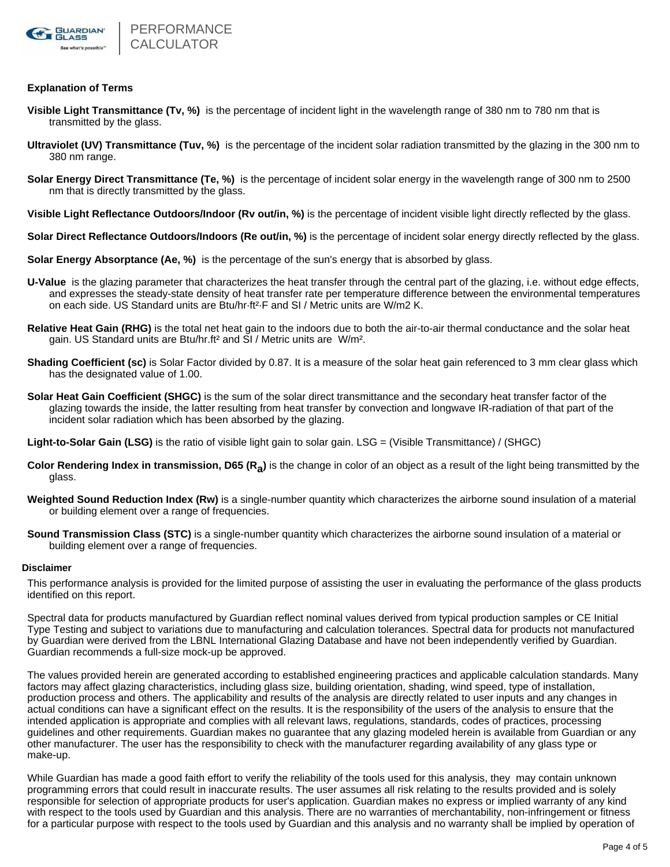

## **Explanation of Terms**

- **Visible Light Transmittance (Tv, %)** is the percentage of incident light in the wavelength range of 380 nm to 780 nm that is transmitted by the glass.
- **Ultraviolet (UV) Transmittance (Tuv, %)** is the percentage of the incident solar radiation transmitted by the glazing in the 300 nm to 380 nm range.
- **Solar Energy Direct Transmittance (Te, %)** is the percentage of incident solar energy in the wavelength range of 300 nm to 2500 nm that is directly transmitted by the glass.
- **Visible Light Reflectance Outdoors/Indoor (Rv out/in, %)** is the percentage of incident visible light directly reflected by the glass.
- **Solar Direct Reflectance Outdoors/Indoors (Re out/in, %)** is the percentage of incident solar energy directly reflected by the glass.
- **Solar Energy Absorptance (Ae, %)** is the percentage of the sun's energy that is absorbed by glass.
- **U-Value** is the glazing parameter that characterizes the heat transfer through the central part of the glazing, i.e. without edge effects, and expresses the steady-state density of heat transfer rate per temperature difference between the environmental temperatures on each side. US Standard units are Btu/hr·ft²·F and SI / Metric units are W/m2 K.
- **Relative Heat Gain (RHG)** is the total net heat gain to the indoors due to both the air-to-air thermal conductance and the solar heat gain. US Standard units are Btu/hr.ft² and SI / Metric units are W/m².
- **Shading Coefficient (sc)** is Solar Factor divided by 0.87. It is a measure of the solar heat gain referenced to 3 mm clear glass which has the designated value of 1.00.
- **Solar Heat Gain Coefficient (SHGC)** is the sum of the solar direct transmittance and the secondary heat transfer factor of the glazing towards the inside, the latter resulting from heat transfer by convection and longwave IR-radiation of that part of the incident solar radiation which has been absorbed by the glazing.

**Light-to-Solar Gain (LSG)** is the ratio of visible light gain to solar gain. LSG = (Visible Transmittance) / (SHGC)

- Color Rendering Index in transmission, D65 (R<sub>a</sub>) is the change in color of an object as a result of the light being transmitted by the glass.
- **Weighted Sound Reduction Index (Rw)** is a single-number quantity which characterizes the airborne sound insulation of a material or building element over a range of frequencies.
- **Sound Transmission Class (STC)** is a single-number quantity which characterizes the airborne sound insulation of a material or building element over a range of frequencies.

### **Disclaimer**

This performance analysis is provided for the limited purpose of assisting the user in evaluating the performance of the glass products identified on this report.

Spectral data for products manufactured by Guardian reflect nominal values derived from typical production samples or CE Initial Type Testing and subject to variations due to manufacturing and calculation tolerances. Spectral data for products not manufactured by Guardian were derived from the LBNL International Glazing Database and have not been independently verified by Guardian. Guardian recommends a full-size mock-up be approved.

The values provided herein are generated according to established engineering practices and applicable calculation standards. Many factors may affect glazing characteristics, including glass size, building orientation, shading, wind speed, type of installation, production process and others. The applicability and results of the analysis are directly related to user inputs and any changes in actual conditions can have a significant effect on the results. It is the responsibility of the users of the analysis to ensure that the intended application is appropriate and complies with all relevant laws, regulations, standards, codes of practices, processing guidelines and other requirements. Guardian makes no guarantee that any glazing modeled herein is available from Guardian or any other manufacturer. The user has the responsibility to check with the manufacturer regarding availability of any glass type or make-up.

While Guardian has made a good faith effort to verify the reliability of the tools used for this analysis, they may contain unknown programming errors that could result in inaccurate results. The user assumes all risk relating to the results provided and is solely responsible for selection of appropriate products for user's application. Guardian makes no express or implied warranty of any kind with respect to the tools used by Guardian and this analysis. There are no warranties of merchantability, non-infringement or fitness for a particular purpose with respect to the tools used by Guardian and this analysis and no warranty shall be implied by operation of